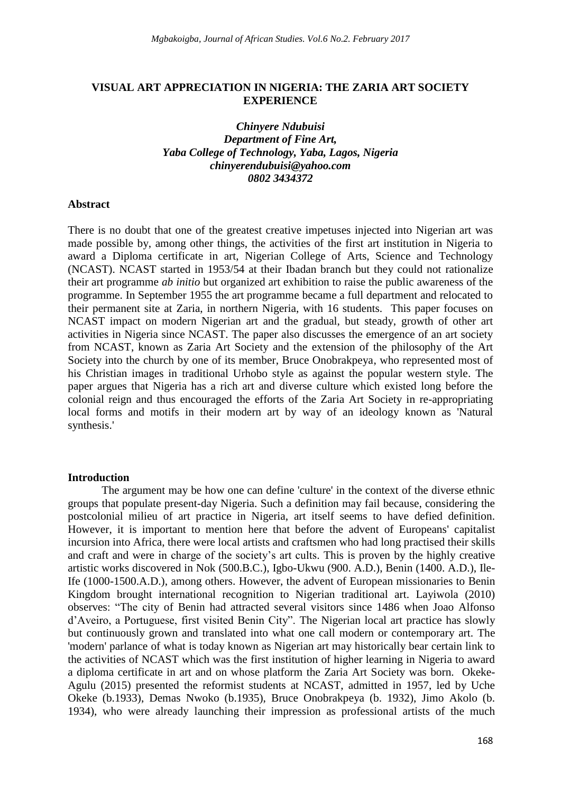### **VISUAL ART APPRECIATION IN NIGERIA: THE ZARIA ART SOCIETY EXPERIENCE**

# *Chinyere Ndubuisi Department of Fine Art, Yaba College of Technology, Yaba, Lagos, Nigeria [chinyerendubuisi@yahoo.com](mailto:chinyerendubuisi@yahoo.com) 0802 3434372*

#### **Abstract**

There is no doubt that one of the greatest creative impetuses injected into Nigerian art was made possible by, among other things, the activities of the first art institution in Nigeria to award a Diploma certificate in art, Nigerian College of Arts, Science and Technology (NCAST). NCAST started in 1953/54 at their Ibadan branch but they could not rationalize their art programme *ab initio* but organized art exhibition to raise the public awareness of the programme. In September 1955 the art programme became a full department and relocated to their permanent site at Zaria, in northern Nigeria, with 16 students. This paper focuses on NCAST impact on modern Nigerian art and the gradual, but steady, growth of other art activities in Nigeria since NCAST. The paper also discusses the emergence of an art society from NCAST, known as Zaria Art Society and the extension of the philosophy of the Art Society into the church by one of its member, Bruce Onobrakpeya, who represented most of his Christian images in traditional Urhobo style as against the popular western style. The paper argues that Nigeria has a rich art and diverse culture which existed long before the colonial reign and thus encouraged the efforts of the Zaria Art Society in re-appropriating local forms and motifs in their modern art by way of an ideology known as 'Natural synthesis.'

#### **Introduction**

The argument may be how one can define 'culture' in the context of the diverse ethnic groups that populate present-day Nigeria. Such a definition may fail because, considering the postcolonial milieu of art practice in Nigeria, art itself seems to have defied definition. However, it is important to mention here that before the advent of Europeans' capitalist incursion into Africa, there were local artists and craftsmen who had long practised their skills and craft and were in charge of the society"s art cults. This is proven by the highly creative artistic works discovered in Nok (500.B.C.), Igbo-Ukwu (900. A.D.), Benin (1400. A.D.), Ile-Ife (1000-1500.A.D.), among others. However, the advent of European missionaries to Benin Kingdom brought international recognition to Nigerian traditional art. Layiwola (2010) observes: "The city of Benin had attracted several visitors since 1486 when Joao Alfonso d"Aveiro, a Portuguese, first visited Benin City". The Nigerian local art practice has slowly but continuously grown and translated into what one call modern or contemporary art. The 'modern' parlance of what is today known as Nigerian art may historically bear certain link to the activities of NCAST which was the first institution of higher learning in Nigeria to award a diploma certificate in art and on whose platform the Zaria Art Society was born. Okeke-Agulu (2015) presented the reformist students at NCAST, admitted in 1957, led by Uche Okeke (b.1933), Demas Nwoko (b.1935), Bruce Onobrakpeya (b. 1932), Jimo Akolo (b. 1934), who were already launching their impression as professional artists of the much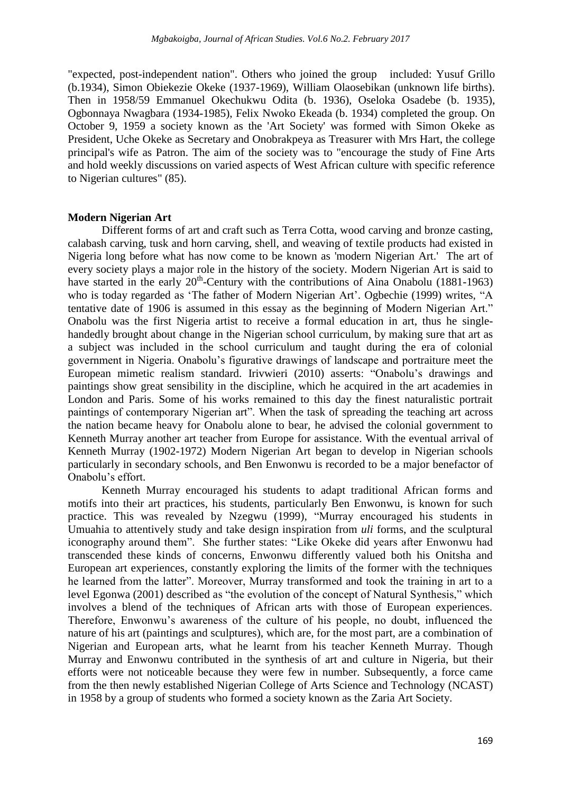"expected, post-independent nation". Others who joined the group included: Yusuf Grillo (b.1934), Simon Obiekezie Okeke (1937-1969), William Olaosebikan (unknown life births). Then in 1958/59 Emmanuel Okechukwu Odita (b. 1936), Oseloka Osadebe (b. 1935), Ogbonnaya Nwagbara (1934-1985), Felix Nwoko Ekeada (b. 1934) completed the group. On October 9, 1959 a society known as the 'Art Society' was formed with Simon Okeke as President, Uche Okeke as Secretary and Onobrakpeya as Treasurer with Mrs Hart, the college principal's wife as Patron. The aim of the society was to "encourage the study of Fine Arts and hold weekly discussions on varied aspects of West African culture with specific reference to Nigerian cultures" (85).

#### **Modern Nigerian Art**

Different forms of art and craft such as Terra Cotta, wood carving and bronze casting, calabash carving, tusk and horn carving, shell, and weaving of textile products had existed in Nigeria long before what has now come to be known as 'modern Nigerian Art.' The art of every society plays a major role in the history of the society. Modern Nigerian Art is said to have started in the early  $20<sup>th</sup>$ -Century with the contributions of Aina Onabolu (1881-1963) who is today regarded as 'The father of Modern Nigerian Art'. Ogbechie (1999) writes, "A tentative date of 1906 is assumed in this essay as the beginning of Modern Nigerian Art." Onabolu was the first Nigeria artist to receive a formal education in art, thus he singlehandedly brought about change in the Nigerian school curriculum, by making sure that art as a subject was included in the school curriculum and taught during the era of colonial government in Nigeria. Onabolu"s figurative drawings of landscape and portraiture meet the European mimetic realism standard. Irivwieri (2010) asserts: "Onabolu"s drawings and paintings show great sensibility in the discipline, which he acquired in the art academies in London and Paris. Some of his works remained to this day the finest naturalistic portrait paintings of contemporary Nigerian art". When the task of spreading the teaching art across the nation became heavy for Onabolu alone to bear, he advised the colonial government to Kenneth Murray another art teacher from Europe for assistance. With the eventual arrival of Kenneth Murray (1902-1972) Modern Nigerian Art began to develop in Nigerian schools particularly in secondary schools, and Ben Enwonwu is recorded to be a major benefactor of Onabolu"s effort.

Kenneth Murray encouraged his students to adapt traditional African forms and motifs into their art practices, his students, particularly Ben Enwonwu, is known for such practice. This was revealed by Nzegwu (1999), "Murray encouraged his students in Umuahia to attentively study and take design inspiration from *uli* forms, and the sculptural iconography around them". She further states: "Like Okeke did years after Enwonwu had transcended these kinds of concerns, Enwonwu differently valued both his Onitsha and European art experiences, constantly exploring the limits of the former with the techniques he learned from the latter". Moreover, Murray transformed and took the training in art to a level Egonwa (2001) described as "the evolution of the concept of Natural Synthesis," which involves a blend of the techniques of African arts with those of European experiences. Therefore, Enwonwu"s awareness of the culture of his people, no doubt, influenced the nature of his art (paintings and sculptures), which are, for the most part, are a combination of Nigerian and European arts, what he learnt from his teacher Kenneth Murray. Though Murray and Enwonwu contributed in the synthesis of art and culture in Nigeria, but their efforts were not noticeable because they were few in number. Subsequently, a force came from the then newly established Nigerian College of Arts Science and Technology (NCAST) in 1958 by a group of students who formed a society known as the Zaria Art Society.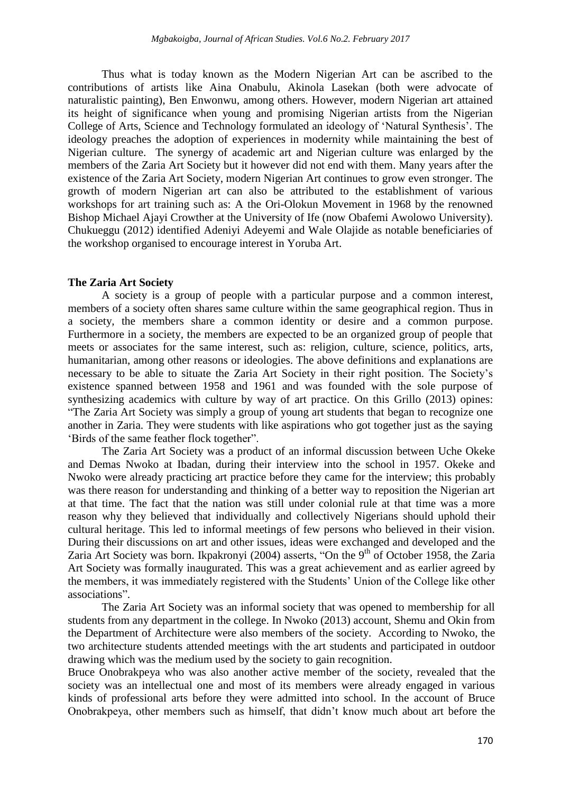Thus what is today known as the Modern Nigerian Art can be ascribed to the contributions of artists like Aina Onabulu, Akinola Lasekan (both were advocate of naturalistic painting), Ben Enwonwu, among others. However, modern Nigerian art attained its height of significance when young and promising Nigerian artists from the Nigerian College of Arts, Science and Technology formulated an ideology of "Natural Synthesis". The ideology preaches the adoption of experiences in modernity while maintaining the best of Nigerian culture. The synergy of academic art and Nigerian culture was enlarged by the members of the Zaria Art Society but it however did not end with them. Many years after the existence of the Zaria Art Society, modern Nigerian Art continues to grow even stronger. The growth of modern Nigerian art can also be attributed to the establishment of various workshops for art training such as: A the Ori-Olokun Movement in 1968 by the renowned Bishop Michael Ajayi Crowther at the University of Ife (now Obafemi Awolowo University). Chukueggu (2012) identified Adeniyi Adeyemi and Wale Olajide as notable beneficiaries of the workshop organised to encourage interest in Yoruba Art.

#### **The Zaria Art Society**

A society is a group of people with a particular purpose and a common interest, members of a society often shares same culture within the same geographical region. Thus in a society, the members share a common identity or desire and a common purpose. Furthermore in a society, the members are expected to be an organized group of people that meets or associates for the same interest, such as: religion, culture, science, politics, arts, humanitarian, among other reasons or ideologies. The above definitions and explanations are necessary to be able to situate the Zaria Art Society in their right position. The Society"s existence spanned between 1958 and 1961 and was founded with the sole purpose of synthesizing academics with culture by way of art practice. On this Grillo (2013) opines: "The Zaria Art Society was simply a group of young art students that began to recognize one another in Zaria. They were students with like aspirations who got together just as the saying "Birds of the same feather flock together".

The Zaria Art Society was a product of an informal discussion between Uche Okeke and Demas Nwoko at Ibadan, during their interview into the school in 1957. Okeke and Nwoko were already practicing art practice before they came for the interview; this probably was there reason for understanding and thinking of a better way to reposition the Nigerian art at that time. The fact that the nation was still under colonial rule at that time was a more reason why they believed that individually and collectively Nigerians should uphold their cultural heritage. This led to informal meetings of few persons who believed in their vision. During their discussions on art and other issues, ideas were exchanged and developed and the Zaria Art Society was born. Ikpakronyi (2004) asserts, "On the 9<sup>th</sup> of October 1958, the Zaria Art Society was formally inaugurated. This was a great achievement and as earlier agreed by the members, it was immediately registered with the Students" Union of the College like other associations".

The Zaria Art Society was an informal society that was opened to membership for all students from any department in the college. In Nwoko (2013) account, Shemu and Okin from the Department of Architecture were also members of the society. According to Nwoko, the two architecture students attended meetings with the art students and participated in outdoor drawing which was the medium used by the society to gain recognition.

Bruce Onobrakpeya who was also another active member of the society, revealed that the society was an intellectual one and most of its members were already engaged in various kinds of professional arts before they were admitted into school. In the account of Bruce Onobrakpeya, other members such as himself, that didn"t know much about art before the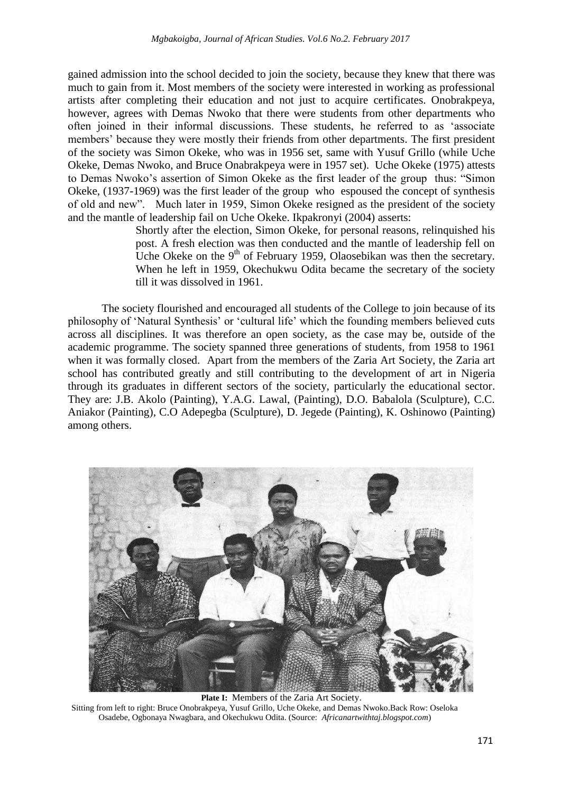gained admission into the school decided to join the society, because they knew that there was much to gain from it. Most members of the society were interested in working as professional artists after completing their education and not just to acquire certificates. Onobrakpeya, however, agrees with Demas Nwoko that there were students from other departments who often joined in their informal discussions. These students, he referred to as "associate members" because they were mostly their friends from other departments. The first president of the society was Simon Okeke, who was in 1956 set, same with Yusuf Grillo (while Uche Okeke, Demas Nwoko, and Bruce Onabrakpeya were in 1957 set). Uche Okeke (1975) attests to Demas Nwoko"s assertion of Simon Okeke as the first leader of the group thus: "Simon Okeke, (1937-1969) was the first leader of the group who espoused the concept of synthesis of old and new". Much later in 1959, Simon Okeke resigned as the president of the society and the mantle of leadership fail on Uche Okeke. Ikpakronyi (2004) asserts:

> Shortly after the election, Simon Okeke, for personal reasons, relinquished his post. A fresh election was then conducted and the mantle of leadership fell on Uche Okeke on the  $9<sup>th</sup>$  of February 1959, Olaosebikan was then the secretary. When he left in 1959, Okechukwu Odita became the secretary of the society till it was dissolved in 1961.

The society flourished and encouraged all students of the College to join because of its philosophy of "Natural Synthesis" or "cultural life" which the founding members believed cuts across all disciplines. It was therefore an open society, as the case may be, outside of the academic programme. The society spanned three generations of students, from 1958 to 1961 when it was formally closed. Apart from the members of the Zaria Art Society, the Zaria art school has contributed greatly and still contributing to the development of art in Nigeria through its graduates in different sectors of the society, particularly the educational sector. They are: J.B. Akolo (Painting), Y.A.G. Lawal, (Painting), D.O. Babalola (Sculpture), C.C. Aniakor (Painting), C.O Adepegba (Sculpture), D. Jegede (Painting), K. Oshinowo (Painting) among others.



**Plate I:** Members of the Zaria Art Society. Sitting from left to right: Bruce Onobrakpeya, Yusuf Grillo, Uche Okeke, and Demas Nwoko.Back Row: Oseloka Osadebe, Ogbonaya Nwagbara, and Okechukwu Odita. (Source: *Africanartwithtaj.blogspot.com*)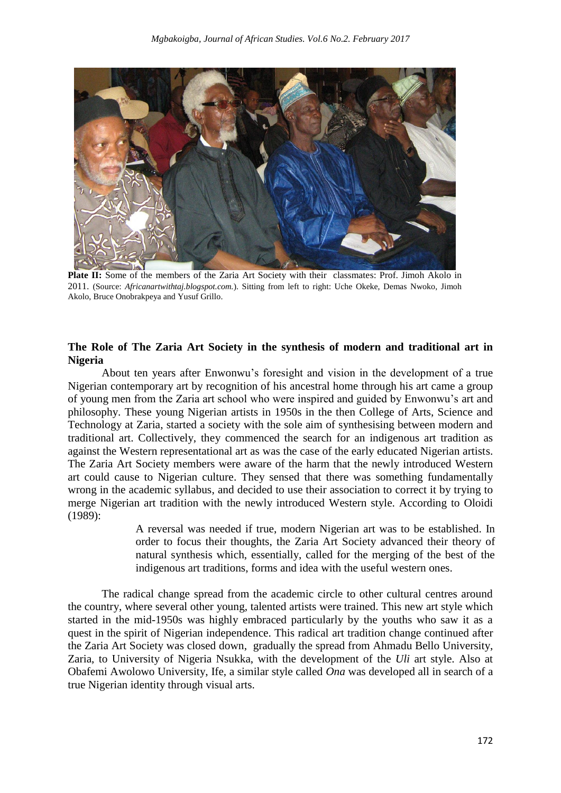

**Plate II:** Some of the members of the Zaria Art Society with their classmates: Prof. Jimoh Akolo in 2011. (Source: *Africanartwithtaj.blogspot.com.*). Sitting from left to right: Uche Okeke, Demas Nwoko, Jimoh Akolo, Bruce Onobrakpeya and Yusuf Grillo.

### **The Role of The Zaria Art Society in the synthesis of modern and traditional art in Nigeria**

About ten years after Enwonwu"s foresight and vision in the development of a true Nigerian contemporary art by recognition of his ancestral home through his art came a group of young men from the Zaria art school who were inspired and guided by Enwonwu"s art and philosophy. These young Nigerian artists in 1950s in the then College of Arts, Science and Technology at Zaria, started a society with the sole aim of synthesising between modern and traditional art. Collectively, they commenced the search for an indigenous art tradition as against the Western representational art as was the case of the early educated Nigerian artists. The Zaria Art Society members were aware of the harm that the newly introduced Western art could cause to Nigerian culture. They sensed that there was something fundamentally wrong in the academic syllabus, and decided to use their association to correct it by trying to merge Nigerian art tradition with the newly introduced Western style. According to Oloidi (1989):

> A reversal was needed if true, modern Nigerian art was to be established. In order to focus their thoughts, the Zaria Art Society advanced their theory of natural synthesis which, essentially, called for the merging of the best of the indigenous art traditions, forms and idea with the useful western ones.

The radical change spread from the academic circle to other cultural centres around the country, where several other young, talented artists were trained. This new art style which started in the mid-1950s was highly embraced particularly by the youths who saw it as a quest in the spirit of Nigerian independence. This radical art tradition change continued after the Zaria Art Society was closed down, gradually the spread from Ahmadu Bello University, Zaria, to University of Nigeria Nsukka, with the development of the *Uli* art style. Also at Obafemi Awolowo University, Ife, a similar style called *Ona* was developed all in search of a true Nigerian identity through visual arts.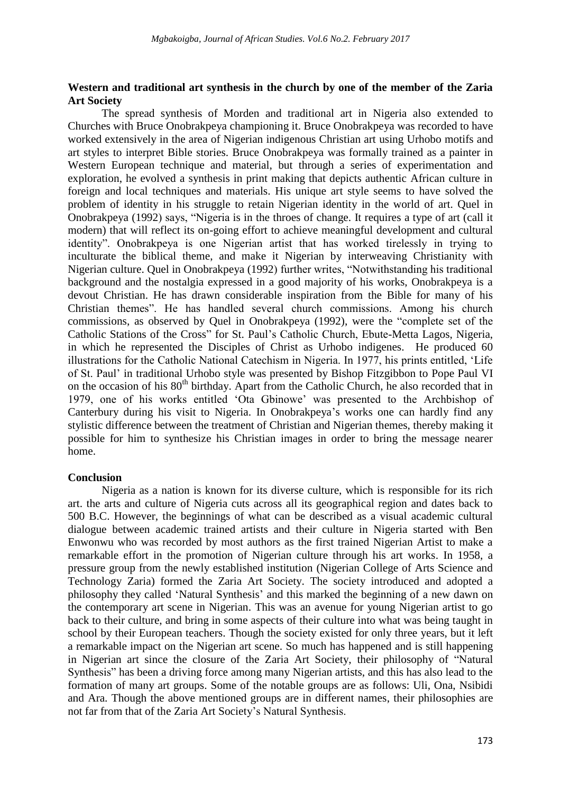# **Western and traditional art synthesis in the church by one of the member of the Zaria Art Society**

The spread synthesis of Morden and traditional art in Nigeria also extended to Churches with Bruce Onobrakpeya championing it. Bruce Onobrakpeya was recorded to have worked extensively in the area of Nigerian indigenous Christian art using Urhobo motifs and art styles to interpret Bible stories. Bruce Onobrakpeya was formally trained as a painter in Western European technique and material, but through a series of experimentation and exploration, he evolved a synthesis in print making that depicts authentic African culture in foreign and local techniques and materials. His unique art style seems to have solved the problem of identity in his struggle to retain Nigerian identity in the world of art. Quel in Onobrakpeya (1992) says, "Nigeria is in the throes of change. It requires a type of art (call it modern) that will reflect its on-going effort to achieve meaningful development and cultural identity". Onobrakpeya is one Nigerian artist that has worked tirelessly in trying to inculturate the biblical theme, and make it Nigerian by interweaving Christianity with Nigerian culture. Quel in Onobrakpeya (1992) further writes, "Notwithstanding his traditional background and the nostalgia expressed in a good majority of his works, Onobrakpeya is a devout Christian. He has drawn considerable inspiration from the Bible for many of his Christian themes". He has handled several church commissions. Among his church commissions, as observed by Quel in Onobrakpeya (1992), were the "complete set of the Catholic Stations of the Cross" for St. Paul"s Catholic Church, Ebute-Metta Lagos, Nigeria, in which he represented the Disciples of Christ as Urhobo indigenes. He produced 60 illustrations for the Catholic National Catechism in Nigeria. In 1977, his prints entitled, "Life of St. Paul" in traditional Urhobo style was presented by Bishop Fitzgibbon to Pope Paul VI on the occasion of his  $80<sup>th</sup>$  birthday. Apart from the Catholic Church, he also recorded that in 1979, one of his works entitled "Ota Gbinowe" was presented to the Archbishop of Canterbury during his visit to Nigeria. In Onobrakpeya"s works one can hardly find any stylistic difference between the treatment of Christian and Nigerian themes, thereby making it possible for him to synthesize his Christian images in order to bring the message nearer home.

## **Conclusion**

Nigeria as a nation is known for its diverse culture, which is responsible for its rich art. the arts and culture of Nigeria cuts across all its geographical region and dates back to 500 B.C. However, the beginnings of what can be described as a visual academic cultural dialogue between academic trained artists and their culture in Nigeria started with Ben Enwonwu who was recorded by most authors as the first trained Nigerian Artist to make a remarkable effort in the promotion of Nigerian culture through his art works. In 1958, a pressure group from the newly established institution (Nigerian College of Arts Science and Technology Zaria) formed the Zaria Art Society. The society introduced and adopted a philosophy they called "Natural Synthesis" and this marked the beginning of a new dawn on the contemporary art scene in Nigerian. This was an avenue for young Nigerian artist to go back to their culture, and bring in some aspects of their culture into what was being taught in school by their European teachers. Though the society existed for only three years, but it left a remarkable impact on the Nigerian art scene. So much has happened and is still happening in Nigerian art since the closure of the Zaria Art Society, their philosophy of "Natural Synthesis" has been a driving force among many Nigerian artists, and this has also lead to the formation of many art groups. Some of the notable groups are as follows: Uli, Ona, Nsibidi and Ara. Though the above mentioned groups are in different names, their philosophies are not far from that of the Zaria Art Society"s Natural Synthesis.